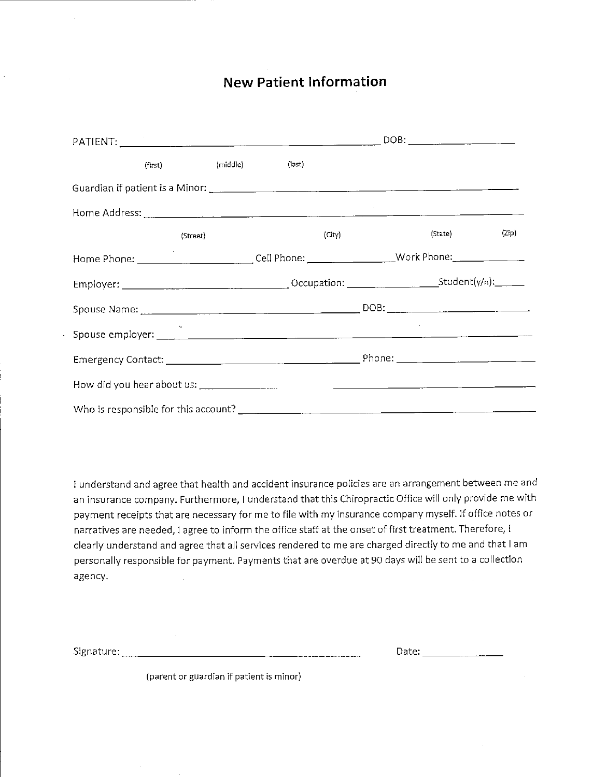### **New Patient Information**

|                                                                                                           | (first) (middle) (last) |  |  |        |         |       |
|-----------------------------------------------------------------------------------------------------------|-------------------------|--|--|--------|---------|-------|
|                                                                                                           |                         |  |  |        |         |       |
|                                                                                                           |                         |  |  |        |         |       |
|                                                                                                           | (Street)                |  |  | (City) | (State) | (Zip) |
| Home Phone: _______________________________Cell Phone: ______________________Work Phone: ________________ |                         |  |  |        |         |       |
|                                                                                                           |                         |  |  |        |         |       |
|                                                                                                           |                         |  |  |        |         |       |
|                                                                                                           |                         |  |  |        |         |       |
|                                                                                                           |                         |  |  |        |         |       |
|                                                                                                           |                         |  |  |        |         |       |
| Who is responsible for this account?                                                                      |                         |  |  |        |         |       |

I understand and agree that health and accident insurance policies are an arrangement between me and an insurance company. Furthermore, I understand that this Chiropractic Office will only provide me with payment receipts that are necessary for me to file with my insurance company myself. If office notes or narratives are needed, I agree to inform the office staff at the onset of first treatment. Therefore, I clearly understand and agree that all services rendered to me are charged directly to me and that I am personally responsible for payment. Payments that are overdue at 90 days will be sent to a collection agency.

Signature:

|  | Date: |  |
|--|-------|--|
|  |       |  |
|  |       |  |

(parent or guardian if patient is minor)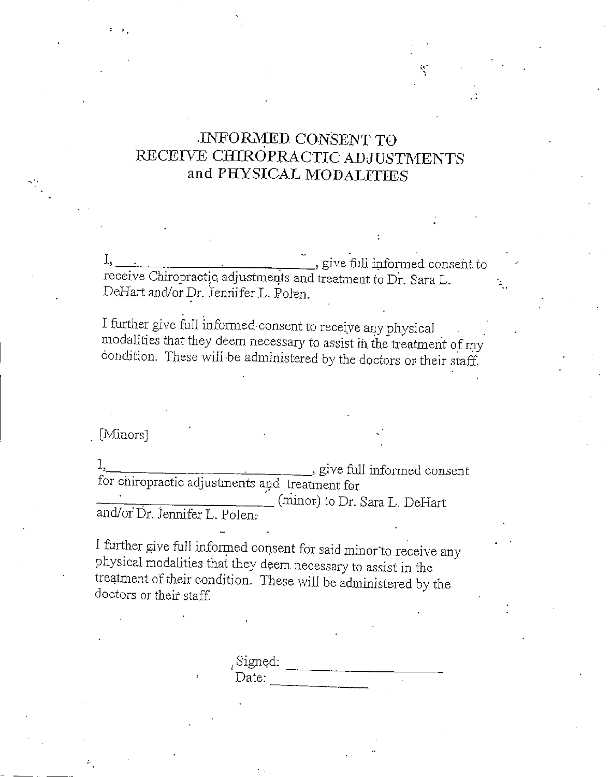## -INFORMED CONSENT TO RECEIVE CHIROPRACTIC ADJUSTMENTS and PHYSICAL MODALITIES

I<sup>3</sup> . : , give full informed consent to receive Chiropractic, adjustments and treatment to Dr. Sara L. DeHart and/or Dr. Jennifer L. Polen.

I further give full informed-consent to receive any physical modalities that they deem necessary to assist in the treatment of my condition. These will be administered by the doctors or their staff.

[Minors]

 $\mathbf{I}_{\mathbf{y}}$ <u>\_\_\_</u>, give full informed consent for chiropractic adjustments and treatment for  $\_\_$  (minor) to Dr. Sara L. DeHart

and/or Dr. Jennifer L. Polen:

1 further give full informed consent for said minor "to receive any physical modalities that they deem necessary to assist in the treatment of their condition. These wilJ be administered by the doctors or their staff.

> Signed: Date:  $\overline{\phantom{a}}$